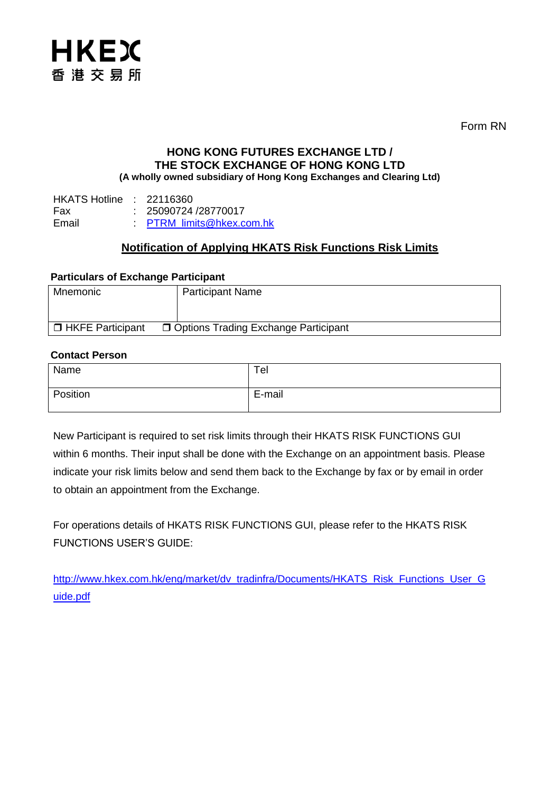

Form RN

### **HONG KONG FUTURES EXCHANGE LTD / THE STOCK EXCHANGE OF HONG KONG LTD (A wholly owned subsidiary of Hong Kong Exchanges and Clearing Ltd)**

HKATS Hotline : 22116360 Fax : 25090724 /28770017<br>Fmail : PTRM limits@hkex.c : [PTRM\\_limits@hkex.com.hk](mailto:PTRM_limits@hkex.com.hk)

## **Notification of Applying HKATS Risk Functions Risk Limits**

#### **Particulars of Exchange Participant**

| Mnemonic                  | <b>Participant Name</b>                |
|---------------------------|----------------------------------------|
|                           |                                        |
| <b>D</b> HKFE Participant | □ Options Trading Exchange Participant |

#### **Contact Person**

| Name     | Tel    |
|----------|--------|
| Position | E-mail |

New Participant is required to set risk limits through their HKATS RISK FUNCTIONS GUI within 6 months. Their input shall be done with the Exchange on an appointment basis. Please indicate your risk limits below and send them back to the Exchange by fax or by email in order to obtain an appointment from the Exchange.

For operations details of HKATS RISK FUNCTIONS GUI, please refer to the HKATS RISK FUNCTIONS USER'S GUIDE:

[http://www.hkex.com.hk/eng/market/dv\\_tradinfra/Documents/HKATS\\_Risk\\_Functions\\_User\\_G](http://www.hkex.com.hk/eng/market/dv_tradinfra/Documents/HKATS_Risk_Functions_User_Guide.pdf) [uide.pdf](http://www.hkex.com.hk/eng/market/dv_tradinfra/Documents/HKATS_Risk_Functions_User_Guide.pdf)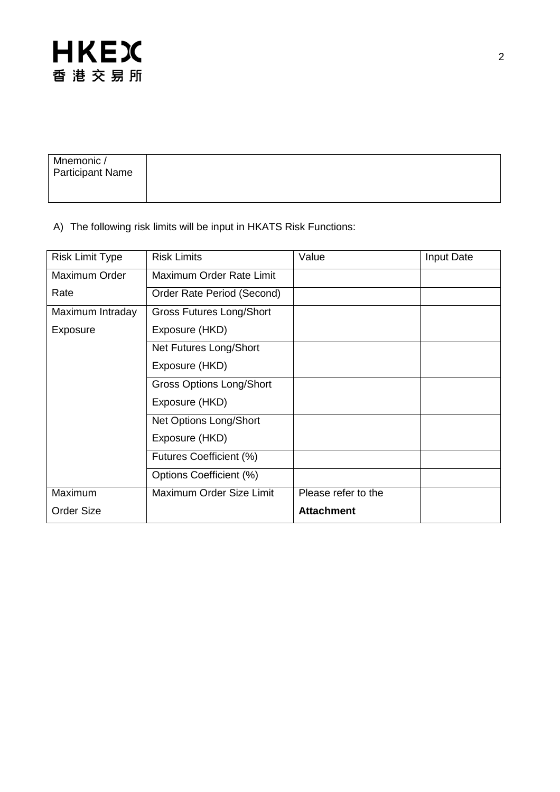

| Mnemonic /<br><b>Participant Name</b> |  |
|---------------------------------------|--|
|                                       |  |

# A) The following risk limits will be input in HKATS Risk Functions:

| <b>Risk Limit Type</b> | <b>Risk Limits</b>              | Value               | Input Date |
|------------------------|---------------------------------|---------------------|------------|
| Maximum Order          | Maximum Order Rate Limit        |                     |            |
| Rate                   | Order Rate Period (Second)      |                     |            |
| Maximum Intraday       | <b>Gross Futures Long/Short</b> |                     |            |
| Exposure               | Exposure (HKD)                  |                     |            |
|                        | Net Futures Long/Short          |                     |            |
|                        | Exposure (HKD)                  |                     |            |
|                        | <b>Gross Options Long/Short</b> |                     |            |
|                        | Exposure (HKD)                  |                     |            |
|                        | Net Options Long/Short          |                     |            |
|                        | Exposure (HKD)                  |                     |            |
|                        | Futures Coefficient (%)         |                     |            |
|                        | Options Coefficient (%)         |                     |            |
| Maximum                | Maximum Order Size Limit        | Please refer to the |            |
| <b>Order Size</b>      |                                 | <b>Attachment</b>   |            |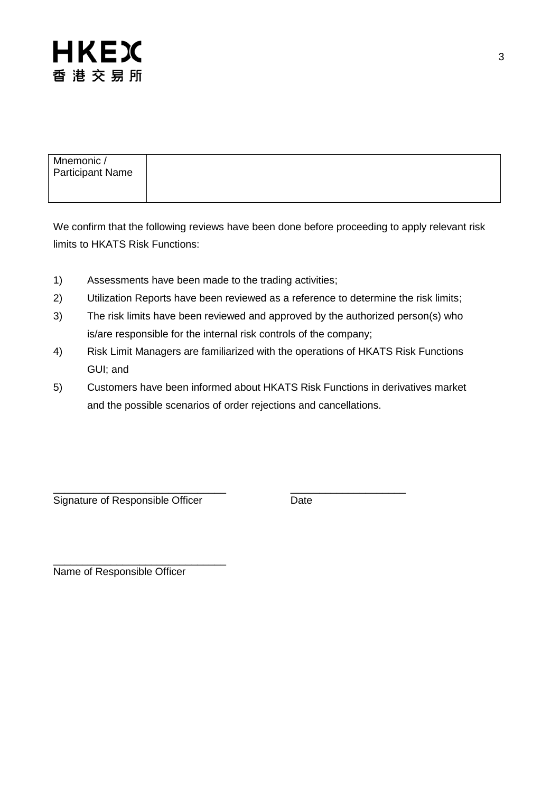

| Mnemonic /              |  |
|-------------------------|--|
| <b>Participant Name</b> |  |
|                         |  |

We confirm that the following reviews have been done before proceeding to apply relevant risk limits to HKATS Risk Functions:

- 1) Assessments have been made to the trading activities;
- 2) Utilization Reports have been reviewed as a reference to determine the risk limits;
- 3) The risk limits have been reviewed and approved by the authorized person(s) who is/are responsible for the internal risk controls of the company;
- 4) Risk Limit Managers are familiarized with the operations of HKATS Risk Functions GUI; and
- 5) Customers have been informed about HKATS Risk Functions in derivatives market and the possible scenarios of order rejections and cancellations.

\_\_\_\_\_\_\_\_\_\_\_\_\_\_\_\_\_\_\_\_\_\_\_\_\_\_\_\_\_\_ \_\_\_\_\_\_\_\_\_\_\_\_\_\_\_\_\_\_\_\_ Signature of Responsible Officer **Date** 

\_\_\_\_\_\_\_\_\_\_\_\_\_\_\_\_\_\_\_\_\_\_\_\_\_\_\_\_\_\_ Name of Responsible Officer